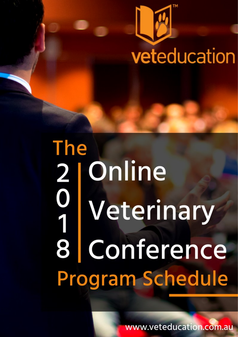

# **The** Online  $\begin{bmatrix} 2 \\ 0 \\ 1 \end{bmatrix}$ Veterinary 8 Conference **Program Schedule**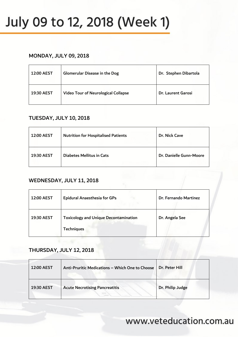## July 09 to 12, 2018 (Week 1)

#### MONDAY, JULY 09, 2018

| 12:00 AEST | Glomerular Disease in the Dog              | Dr. Stephen Dibartola |
|------------|--------------------------------------------|-----------------------|
| 19:30 AEST | <b>Video Tour of Neurological Collapse</b> | Dr. Laurent Garosi    |

#### TUESDAY, JULY 10, 2018

| <b>12:00 AEST</b> | <b>Nutrition for Hospitalised Patients</b> | Dr. Nick Cave           |
|-------------------|--------------------------------------------|-------------------------|
| 19:30 AEST        | <b>Diabetes Mellitus in Cats</b>           | Dr. Danielle Gunn-Moore |

#### WEDNESDAY, JULY 11, 2018

| <b>12:00 AEST</b> | <b>Epidural Anaesthesia for GPs</b>                               | Dr. Fernando Martinez |
|-------------------|-------------------------------------------------------------------|-----------------------|
| 19:30 AEST        | <b>Toxicology and Unique Decontamination</b><br><b>Techniques</b> | Dr. Angela See        |

#### THURSDAY, JULY 12, 2018

| <b>12:00 AEST</b> | Anti-Pruritic Medications - Which One to Choose | Dr. Peter Hill   |
|-------------------|-------------------------------------------------|------------------|
| 19:30 AEST        | <b>Acute Necrotising Pancreatitis</b>           | Dr. Philip Judge |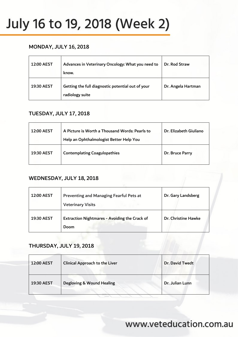## July 16 to 19, 2018 (Week 2)

#### MONDAY, JULY 16, 2018

| 12:00 AEST | Advances in Veterinary Oncology: What you need to<br>know.           | Dr. Rod Straw      |
|------------|----------------------------------------------------------------------|--------------------|
| 19:30 AEST | Getting the full diagnostic potential out of your<br>radiology suite | Dr. Angela Hartman |

#### TUESDAY, JULY 17, 2018

| 12:00 AEST | A Picture is Worth a Thousand Words: Pearls to<br>Help an Ophthalmologist Better Help You | Dr. Elizabeth Giuliano |
|------------|-------------------------------------------------------------------------------------------|------------------------|
| 19:30 AEST | <b>Contemplating Coagulopathies</b>                                                       | Dr. Bruce Parry        |

#### WEDNESDAY, JULY 18, 2018

| <b>12:00 AEST</b> | <b>Preventing and Managing Fearful Pets at</b><br><b>Veterinary Visits</b> | Dr. Gary Landsberg  |
|-------------------|----------------------------------------------------------------------------|---------------------|
| 19:30 AEST        | Extraction Nightmares - Avoiding the Crack of<br>Doom                      | Dr. Christine Hawke |

#### THURSDAY, JULY 19, 2018

| <b>12:00 AEST</b> | <b>Clinical Approach to the Liver</b> | Dr. David Twedt |
|-------------------|---------------------------------------|-----------------|
| 19:30 AEST        | Degloving & Wound Healing             | Dr. Julian Lunn |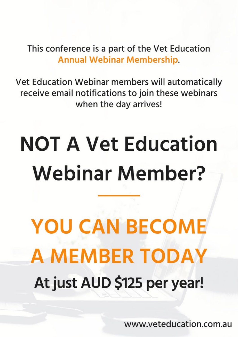This conference is a part of the Vet Education **Annual Webinar Membership.** 

Vet Education Webinar members will automatically receive email notifications to join these webinars when the day arrives!

# **NOT A Vet Education Webinar Member?**

**YOU CAN BECOME A MEMBER TODAY** At just AUD \$125 per year!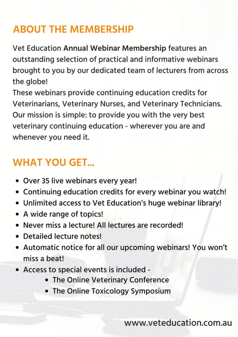## **ABOUT THE MEMBERSHIP**

Vet Education Annual Webinar Membership features an outstanding selection of practical and informative webinars brought to you by our dedicated team of lecturers from across the globe!

These webinars provide continuing education credits for Veterinarians, Veterinary Nurses, and Veterinary Technicians. Our mission is simple: to provide you with the very best veterinary continuing education - wherever you are and whenever you need it.

## **WHAT YOU GET...**

- Over 35 live webinars every year!
- Continuing education credits for every webinar you watch!
- . Unlimited access to Vet Education's huge webinar library!
- A wide range of topics!
- Never miss a lecture! All lectures are recorded!
- Detailed lecture notes!
- Automatic notice for all our upcoming webinars! You won't miss a beat!
- Access to special events is included -
	- The Online Veterinary Conference
	- The Online Toxicology Symposium